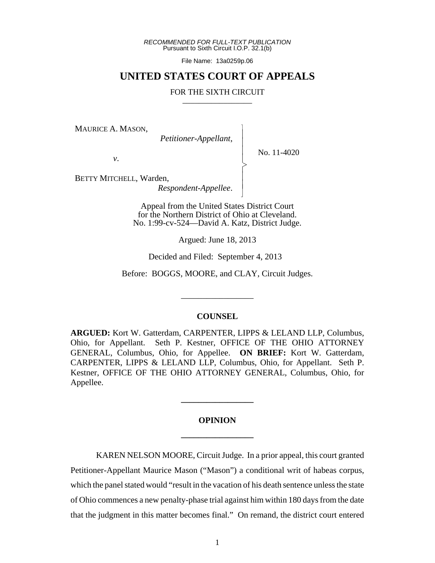*RECOMMENDED FOR FULL-TEXT PUBLICATION* Pursuant to Sixth Circuit I.O.P. 32.1(b)

File Name: 13a0259p.06

## **UNITED STATES COURT OF APPEALS**

#### FOR THE SIXTH CIRCUIT

 $\overline{\phantom{a}}$ - - - > , - - N

MAURICE A. MASON,

*Petitioner-Appellant*,

No. 11-4020

*v*.

BETTY MITCHELL, Warden,

*Respondent-Appellee*.

Appeal from the United States District Court for the Northern District of Ohio at Cleveland. No. 1:99-cv-524—David A. Katz, District Judge.

Argued: June 18, 2013

Decided and Filed: September 4, 2013

Before: BOGGS, MOORE, and CLAY, Circuit Judges.

\_\_\_\_\_\_\_\_\_\_\_\_\_\_\_\_\_

## **COUNSEL**

ARGUED: Kort W. Gatterdam, CARPENTER, LIPPS & LELAND LLP, Columbus, Ohio, for Appellant. Seth P. Kestner, OFFICE OF THE OHIO ATTORNEY GENERAL, Columbus, Ohio, for Appellee. **ON BRIEF:** Kort W. Gatterdam, CARPENTER, LIPPS & LELAND LLP, Columbus, Ohio, for Appellant. Seth P. Kestner, OFFICE OF THE OHIO ATTORNEY GENERAL, Columbus, Ohio, for Appellee.

# **OPINION \_\_\_\_\_\_\_\_\_\_\_\_\_\_\_\_\_**

**\_\_\_\_\_\_\_\_\_\_\_\_\_\_\_\_\_**

KAREN NELSON MOORE, Circuit Judge. In a prior appeal, this court granted Petitioner-Appellant Maurice Mason ("Mason") a conditional writ of habeas corpus, which the panel stated would "result in the vacation of his death sentence unless the state of Ohio commences a new penalty-phase trial against him within 180 days from the date that the judgment in this matter becomes final." On remand, the district court entered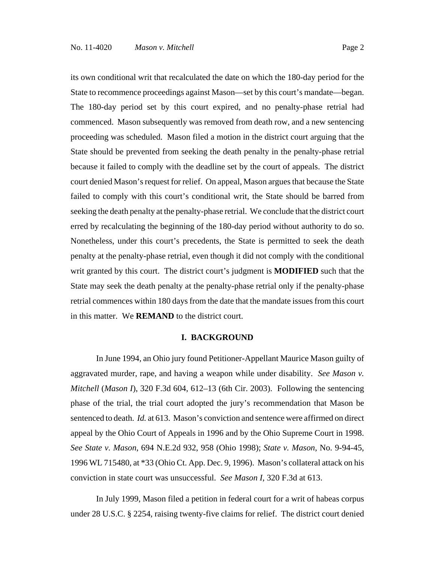its own conditional writ that recalculated the date on which the 180-day period for the State to recommence proceedings against Mason—set by this court's mandate—began. The 180-day period set by this court expired, and no penalty-phase retrial had commenced. Mason subsequently was removed from death row, and a new sentencing proceeding was scheduled. Mason filed a motion in the district court arguing that the State should be prevented from seeking the death penalty in the penalty-phase retrial because it failed to comply with the deadline set by the court of appeals. The district court denied Mason's request for relief. On appeal, Mason argues that because the State failed to comply with this court's conditional writ, the State should be barred from seeking the death penalty at the penalty-phase retrial. We conclude that the district court erred by recalculating the beginning of the 180-day period without authority to do so. Nonetheless, under this court's precedents, the State is permitted to seek the death penalty at the penalty-phase retrial, even though it did not comply with the conditional writ granted by this court. The district court's judgment is **MODIFIED** such that the State may seek the death penalty at the penalty-phase retrial only if the penalty-phase retrial commences within 180 days from the date that the mandate issues from this court in this matter. We **REMAND** to the district court.

## **I. BACKGROUND**

In June 1994, an Ohio jury found Petitioner-Appellant Maurice Mason guilty of aggravated murder, rape, and having a weapon while under disability. *See Mason v. Mitchell* (*Mason I*), 320 F.3d 604, 612–13 (6th Cir. 2003). Following the sentencing phase of the trial, the trial court adopted the jury's recommendation that Mason be sentenced to death. *Id.* at 613. Mason's conviction and sentence were affirmed on direct appeal by the Ohio Court of Appeals in 1996 and by the Ohio Supreme Court in 1998. *See State v. Mason*, 694 N.E.2d 932, 958 (Ohio 1998); *State v. Mason*, No. 9-94-45, 1996 WL 715480, at \*33 (Ohio Ct. App. Dec. 9, 1996). Mason's collateral attack on his conviction in state court was unsuccessful. *See Mason I*, 320 F.3d at 613.

In July 1999, Mason filed a petition in federal court for a writ of habeas corpus under 28 U.S.C. § 2254, raising twenty-five claims for relief. The district court denied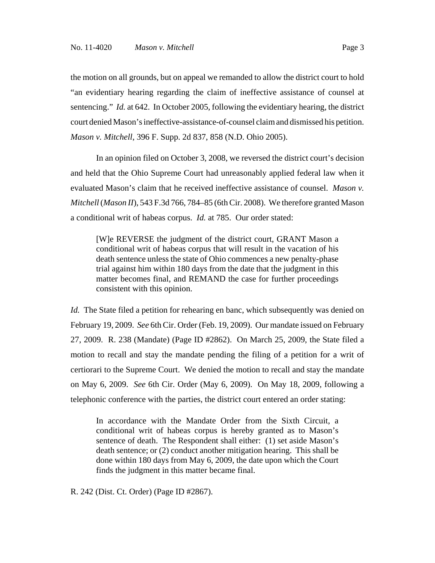the motion on all grounds, but on appeal we remanded to allow the district court to hold "an evidentiary hearing regarding the claim of ineffective assistance of counsel at sentencing." *Id.* at 642. In October 2005, following the evidentiary hearing, the district court denied Mason's ineffective-assistance-of-counsel claim and dismissed his petition. *Mason v. Mitchell*, 396 F. Supp. 2d 837, 858 (N.D. Ohio 2005).

In an opinion filed on October 3, 2008, we reversed the district court's decision and held that the Ohio Supreme Court had unreasonably applied federal law when it evaluated Mason's claim that he received ineffective assistance of counsel. *Mason v. Mitchell* (*Mason II*), 543 F.3d 766, 784–85 (6th Cir. 2008). We therefore granted Mason a conditional writ of habeas corpus. *Id.* at 785. Our order stated:

[W]e REVERSE the judgment of the district court, GRANT Mason a conditional writ of habeas corpus that will result in the vacation of his death sentence unless the state of Ohio commences a new penalty-phase trial against him within 180 days from the date that the judgment in this matter becomes final, and REMAND the case for further proceedings consistent with this opinion.

*Id.* The State filed a petition for rehearing en banc, which subsequently was denied on February 19, 2009. *See* 6th Cir. Order (Feb. 19, 2009). Our mandate issued on February 27, 2009. R. 238 (Mandate) (Page ID #2862). On March 25, 2009, the State filed a motion to recall and stay the mandate pending the filing of a petition for a writ of certiorari to the Supreme Court. We denied the motion to recall and stay the mandate on May 6, 2009. *See* 6th Cir. Order (May 6, 2009). On May 18, 2009, following a telephonic conference with the parties, the district court entered an order stating:

In accordance with the Mandate Order from the Sixth Circuit, a conditional writ of habeas corpus is hereby granted as to Mason's sentence of death. The Respondent shall either: (1) set aside Mason's death sentence; or (2) conduct another mitigation hearing. This shall be done within 180 days from May 6, 2009, the date upon which the Court finds the judgment in this matter became final.

R. 242 (Dist. Ct. Order) (Page ID #2867).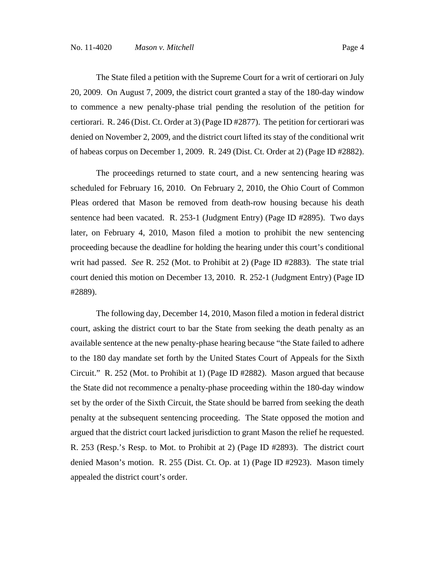The State filed a petition with the Supreme Court for a writ of certiorari on July 20, 2009. On August 7, 2009, the district court granted a stay of the 180-day window to commence a new penalty-phase trial pending the resolution of the petition for certiorari. R. 246 (Dist. Ct. Order at 3) (Page ID #2877). The petition for certiorari was denied on November 2, 2009, and the district court lifted its stay of the conditional writ of habeas corpus on December 1, 2009. R. 249 (Dist. Ct. Order at 2) (Page ID #2882).

The proceedings returned to state court, and a new sentencing hearing was scheduled for February 16, 2010. On February 2, 2010, the Ohio Court of Common Pleas ordered that Mason be removed from death-row housing because his death sentence had been vacated. R. 253-1 (Judgment Entry) (Page ID #2895). Two days later, on February 4, 2010, Mason filed a motion to prohibit the new sentencing proceeding because the deadline for holding the hearing under this court's conditional writ had passed. *See* R. 252 (Mot. to Prohibit at 2) (Page ID #2883). The state trial court denied this motion on December 13, 2010. R. 252-1 (Judgment Entry) (Page ID #2889).

The following day, December 14, 2010, Mason filed a motion in federal district court, asking the district court to bar the State from seeking the death penalty as an available sentence at the new penalty-phase hearing because "the State failed to adhere to the 180 day mandate set forth by the United States Court of Appeals for the Sixth Circuit." R. 252 (Mot. to Prohibit at 1) (Page ID #2882). Mason argued that because the State did not recommence a penalty-phase proceeding within the 180-day window set by the order of the Sixth Circuit, the State should be barred from seeking the death penalty at the subsequent sentencing proceeding. The State opposed the motion and argued that the district court lacked jurisdiction to grant Mason the relief he requested. R. 253 (Resp.'s Resp. to Mot. to Prohibit at 2) (Page ID #2893). The district court denied Mason's motion. R. 255 (Dist. Ct. Op. at 1) (Page ID #2923). Mason timely appealed the district court's order.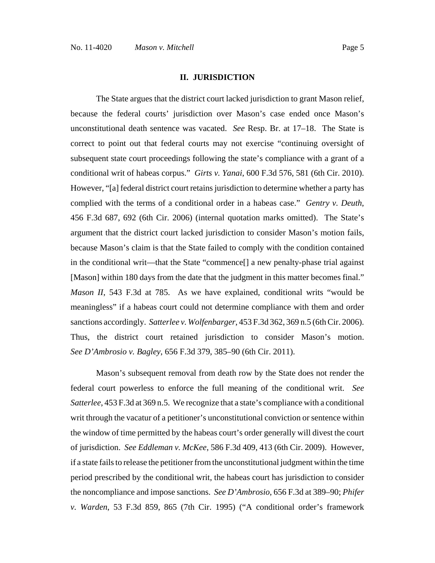### **II. JURISDICTION**

The State argues that the district court lacked jurisdiction to grant Mason relief, because the federal courts' jurisdiction over Mason's case ended once Mason's unconstitutional death sentence was vacated. *See* Resp. Br. at 17–18. The State is correct to point out that federal courts may not exercise "continuing oversight of subsequent state court proceedings following the state's compliance with a grant of a conditional writ of habeas corpus." *Girts v. Yanai*, 600 F.3d 576, 581 (6th Cir. 2010). However, "[a] federal district court retains jurisdiction to determine whether a party has complied with the terms of a conditional order in a habeas case." *Gentry v. Deuth*, 456 F.3d 687, 692 (6th Cir. 2006) (internal quotation marks omitted). The State's argument that the district court lacked jurisdiction to consider Mason's motion fails, because Mason's claim is that the State failed to comply with the condition contained in the conditional writ—that the State "commence[] a new penalty-phase trial against [Mason] within 180 days from the date that the judgment in this matter becomes final." *Mason II*, 543 F.3d at 785. As we have explained, conditional writs "would be meaningless" if a habeas court could not determine compliance with them and order sanctions accordingly. *Satterlee v. Wolfenbarger*, 453 F.3d 362, 369 n.5 (6th Cir. 2006). Thus, the district court retained jurisdiction to consider Mason's motion. *See D'Ambrosio v. Bagley*, 656 F.3d 379, 385–90 (6th Cir. 2011).

Mason's subsequent removal from death row by the State does not render the federal court powerless to enforce the full meaning of the conditional writ. *See Satterlee*, 453 F.3d at 369 n.5. We recognize that a state's compliance with a conditional writ through the vacatur of a petitioner's unconstitutional conviction or sentence within the window of time permitted by the habeas court's order generally will divest the court of jurisdiction. *See Eddleman v. McKee*, 586 F.3d 409, 413 (6th Cir. 2009). However, if a state fails to release the petitioner from the unconstitutional judgment within the time period prescribed by the conditional writ, the habeas court has jurisdiction to consider the noncompliance and impose sanctions. *See D'Ambrosio*, 656 F.3d at 389–90; *Phifer v. Warden*, 53 F.3d 859, 865 (7th Cir. 1995) ("A conditional order's framework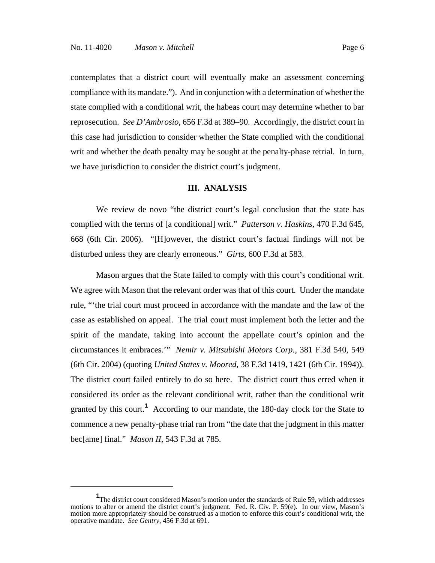contemplates that a district court will eventually make an assessment concerning compliance with its mandate."). And in conjunction with a determination of whether the state complied with a conditional writ, the habeas court may determine whether to bar reprosecution. *See D'Ambrosio*, 656 F.3d at 389–90. Accordingly, the district court in this case had jurisdiction to consider whether the State complied with the conditional writ and whether the death penalty may be sought at the penalty-phase retrial. In turn, we have jurisdiction to consider the district court's judgment.

### **III. ANALYSIS**

We review de novo "the district court's legal conclusion that the state has complied with the terms of [a conditional] writ." *Patterson v. Haskins*, 470 F.3d 645, 668 (6th Cir. 2006). "[H]owever, the district court's factual findings will not be disturbed unless they are clearly erroneous." *Girts*, 600 F.3d at 583.

Mason argues that the State failed to comply with this court's conditional writ. We agree with Mason that the relevant order was that of this court. Under the mandate rule, "'the trial court must proceed in accordance with the mandate and the law of the case as established on appeal. The trial court must implement both the letter and the spirit of the mandate, taking into account the appellate court's opinion and the circumstances it embraces.'" *Nemir v. Mitsubishi Motors Corp.*, 381 F.3d 540, 549 (6th Cir. 2004) (quoting *United States v. Moored*, 38 F.3d 1419, 1421 (6th Cir. 1994)). The district court failed entirely to do so here. The district court thus erred when it considered its order as the relevant conditional writ, rather than the conditional writ granted by this court.**<sup>1</sup>** According to our mandate, the 180-day clock for the State to commence a new penalty-phase trial ran from "the date that the judgment in this matter bec[ame] final." *Mason II*, 543 F.3d at 785.

<sup>&</sup>lt;sup>1</sup>The district court considered Mason's motion under the standards of Rule 59, which addresses motions to alter or amend the district court's judgment. Fed. R. Civ. P. 59(e). In our view, Mason's motion more appropriately should be construed as a motion to enforce this court's conditional writ, the operative mandate. *See Gentry*, 456 F.3d at 691.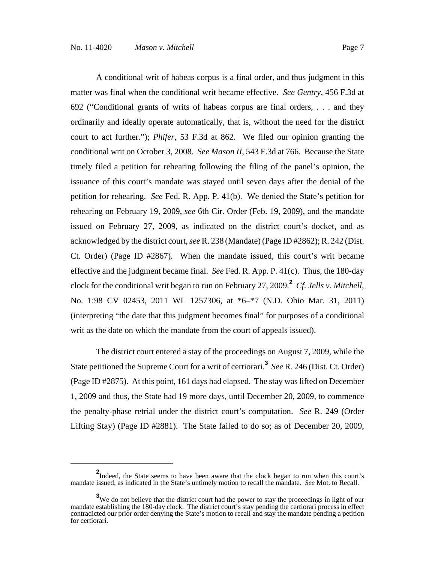A conditional writ of habeas corpus is a final order, and thus judgment in this matter was final when the conditional writ became effective. *See Gentry*, 456 F.3d at 692 ("Conditional grants of writs of habeas corpus are final orders, . . . and they ordinarily and ideally operate automatically, that is, without the need for the district court to act further."); *Phifer*, 53 F.3d at 862. We filed our opinion granting the conditional writ on October 3, 2008. *See Mason II*, 543 F.3d at 766. Because the State timely filed a petition for rehearing following the filing of the panel's opinion, the issuance of this court's mandate was stayed until seven days after the denial of the petition for rehearing. *See* Fed. R. App. P. 41(b). We denied the State's petition for rehearing on February 19, 2009, *see* 6th Cir. Order (Feb. 19, 2009), and the mandate issued on February 27, 2009, as indicated on the district court's docket, and as acknowledged by the district court, *see* R. 238 (Mandate) (Page ID #2862); R. 242 (Dist. Ct. Order) (Page ID #2867). When the mandate issued, this court's writ became effective and the judgment became final. *See* Fed. R. App. P. 41(c). Thus, the 180-day clock for the conditional writ began to run on February 27, 2009.**<sup>2</sup>** *Cf. Jells v. Mitchell*, No. 1:98 CV 02453, 2011 WL 1257306, at \*6–\*7 (N.D. Ohio Mar. 31, 2011) (interpreting "the date that this judgment becomes final" for purposes of a conditional writ as the date on which the mandate from the court of appeals issued).

The district court entered a stay of the proceedings on August 7, 2009, while the State petitioned the Supreme Court for a writ of certiorari.**<sup>3</sup>** *See* R. 246 (Dist. Ct. Order) (Page ID #2875). At this point, 161 days had elapsed. The stay was lifted on December 1, 2009 and thus, the State had 19 more days, until December 20, 2009, to commence the penalty-phase retrial under the district court's computation. *See* R. 249 (Order Lifting Stay) (Page ID #2881). The State failed to do so; as of December 20, 2009,

**<sup>2</sup>**<br>Indeed, the State seems to have been aware that the clock began to run when this court's mandate issued, as indicated in the State's untimely motion to recall the mandate. *See* Mot. to Recall.

<sup>&</sup>lt;sup>3</sup>We do not believe that the district court had the power to stay the proceedings in light of our mandate establishing the 180-day clock. The district court's stay pending the certiorari process in effect contradicted our prior order denying the State's motion to recall and stay the mandate pending a petition for certiorari.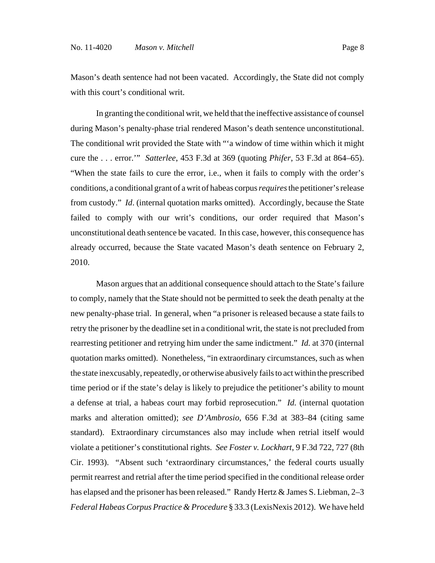Mason's death sentence had not been vacated. Accordingly, the State did not comply with this court's conditional writ.

In granting the conditional writ, we held that the ineffective assistance of counsel during Mason's penalty-phase trial rendered Mason's death sentence unconstitutional. The conditional writ provided the State with "'a window of time within which it might cure the . . . error.'" *Satterlee*, 453 F.3d at 369 (quoting *Phifer*, 53 F.3d at 864–65). "When the state fails to cure the error, i.e., when it fails to comply with the order's conditions, a conditional grant of a writ of habeas corpus *requires* the petitioner's release from custody." *Id*. (internal quotation marks omitted). Accordingly, because the State failed to comply with our writ's conditions, our order required that Mason's unconstitutional death sentence be vacated. In this case, however, this consequence has already occurred, because the State vacated Mason's death sentence on February 2, 2010.

Mason argues that an additional consequence should attach to the State's failure to comply, namely that the State should not be permitted to seek the death penalty at the new penalty-phase trial. In general, when "a prisoner is released because a state fails to retry the prisoner by the deadline set in a conditional writ, the state is not precluded from rearresting petitioner and retrying him under the same indictment." *Id.* at 370 (internal quotation marks omitted). Nonetheless, "in extraordinary circumstances, such as when the state inexcusably, repeatedly, or otherwise abusively fails to act within the prescribed time period or if the state's delay is likely to prejudice the petitioner's ability to mount a defense at trial, a habeas court may forbid reprosecution." *Id.* (internal quotation marks and alteration omitted); *see D'Ambrosio*, 656 F.3d at 383–84 (citing same standard). Extraordinary circumstances also may include when retrial itself would violate a petitioner's constitutional rights. *See Foster v. Lockhart*, 9 F.3d 722, 727 (8th Cir. 1993). "Absent such 'extraordinary circumstances,' the federal courts usually permit rearrest and retrial after the time period specified in the conditional release order has elapsed and the prisoner has been released." Randy Hertz & James S. Liebman, 2–3 *Federal Habeas Corpus Practice & Procedure* § 33.3 (LexisNexis 2012). We have held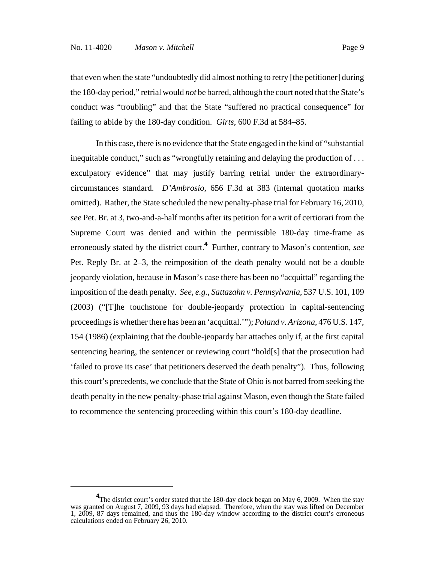that even when the state "undoubtedly did almost nothing to retry [the petitioner] during the 180-day period," retrial would *not* be barred, although the court noted that the State's conduct was "troubling" and that the State "suffered no practical consequence" for failing to abide by the 180-day condition. *Girts*, 600 F.3d at 584–85.

In this case, there is no evidence that the State engaged in the kind of "substantial inequitable conduct," such as "wrongfully retaining and delaying the production of . . . exculpatory evidence" that may justify barring retrial under the extraordinarycircumstances standard. *D'Ambrosio*, 656 F.3d at 383 (internal quotation marks omitted). Rather, the State scheduled the new penalty-phase trial for February 16, 2010, *see* Pet. Br. at 3, two-and-a-half months after its petition for a writ of certiorari from the Supreme Court was denied and within the permissible 180-day time-frame as erroneously stated by the district court.**<sup>4</sup>** Further, contrary to Mason's contention, *see* Pet. Reply Br. at 2–3, the reimposition of the death penalty would not be a double jeopardy violation, because in Mason's case there has been no "acquittal" regarding the imposition of the death penalty. *See, e.g.*, *Sattazahn v. Pennsylvania*, 537 U.S. 101, 109 (2003) ("[T]he touchstone for double-jeopardy protection in capital-sentencing proceedings is whether there has been an 'acquittal.'"); *Poland v. Arizona*, 476 U.S. 147, 154 (1986) (explaining that the double-jeopardy bar attaches only if, at the first capital sentencing hearing, the sentencer or reviewing court "hold[s] that the prosecution had 'failed to prove its case' that petitioners deserved the death penalty"). Thus, following this court's precedents, we conclude that the State of Ohio is not barred from seeking the death penalty in the new penalty-phase trial against Mason, even though the State failed to recommence the sentencing proceeding within this court's 180-day deadline.

<sup>&</sup>lt;sup>4</sup>The district court's order stated that the 180-day clock began on May 6, 2009. When the stay was granted on August 7, 2009, 93 days had elapsed. Therefore, when the stay was lifted on December 1, 2009, 87 days remained, and thus the 180-day window according to the district court's erroneous calculations ended on February 26, 2010.